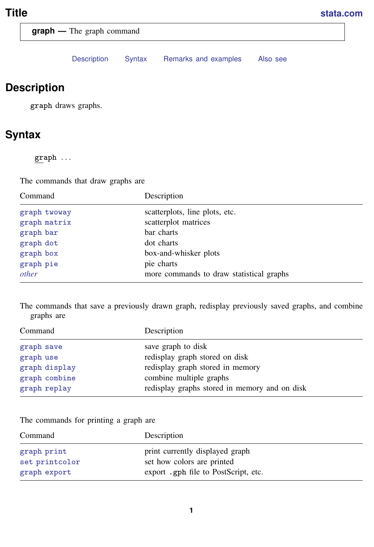<span id="page-0-2"></span>**graph —** The graph command

[Description](#page-0-0) [Syntax](#page-0-1) [Remarks and examples](#page-1-0) [Also see](#page-2-0)

# <span id="page-0-0"></span>**Description**

<span id="page-0-1"></span>graph draws graphs.

# **Syntax**

graph . . .

The commands that draw graphs are

| Command      | Description                              |
|--------------|------------------------------------------|
| graph twoway | scatterplots, line plots, etc.           |
| graph matrix | scatterplot matrices                     |
| graph bar    | bar charts                               |
| graph dot    | dot charts                               |
| graph box    | box-and-whisker plots                    |
| graph pie    | pie charts                               |
| other        | more commands to draw statistical graphs |

The commands that save a previously drawn graph, redisplay previously saved graphs, and combine graphs are

| Command       | Description                                   |
|---------------|-----------------------------------------------|
| graph save    | save graph to disk                            |
| graph use     | redisplay graph stored on disk                |
| graph display | redisplay graph stored in memory              |
| graph combine | combine multiple graphs                       |
| graph replay  | redisplay graphs stored in memory and on disk |

The commands for printing a graph are

| Command        | Description                          |
|----------------|--------------------------------------|
| graph print    | print currently displayed graph      |
| set printcolor | set how colors are printed           |
| graph export   | export .gph file to PostScript, etc. |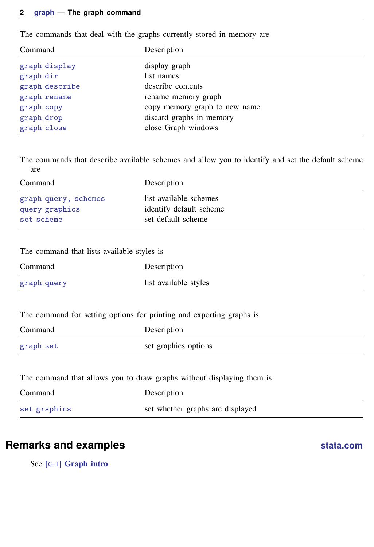#### **2 [graph](#page-0-2) — The graph command**

The commands that deal with the graphs currently stored in memory are

| Command        | Description                   |
|----------------|-------------------------------|
| graph display  | display graph                 |
| graph dir      | list names                    |
| graph describe | describe contents             |
| graph rename   | rename memory graph           |
| graph copy     | copy memory graph to new name |
| graph drop     | discard graphs in memory      |
| graph close    | close Graph windows           |

The commands that describe available schemes and allow you to identify and set the default scheme are

| Command              | Description             |
|----------------------|-------------------------|
| graph query, schemes | list available schemes  |
| query graphics       | identify default scheme |
| set scheme           | set default scheme      |

The command that lists available styles is

| Command     | Description           |
|-------------|-----------------------|
| graph query | list available styles |

The command for setting options for printing and exporting graphs is

| Command   | Description          |
|-----------|----------------------|
| graph set | set graphics options |

The command that allows you to draw graphs without displaying them is

| Command      | Description                      |
|--------------|----------------------------------|
| set graphics | set whether graphs are displayed |

### <span id="page-1-0"></span>**Remarks and examples [stata.com](http://stata.com)**

See [G-1] [Graph intro](https://www.stata.com/manuals/g-1graphintro.pdf#g-1Graphintro).